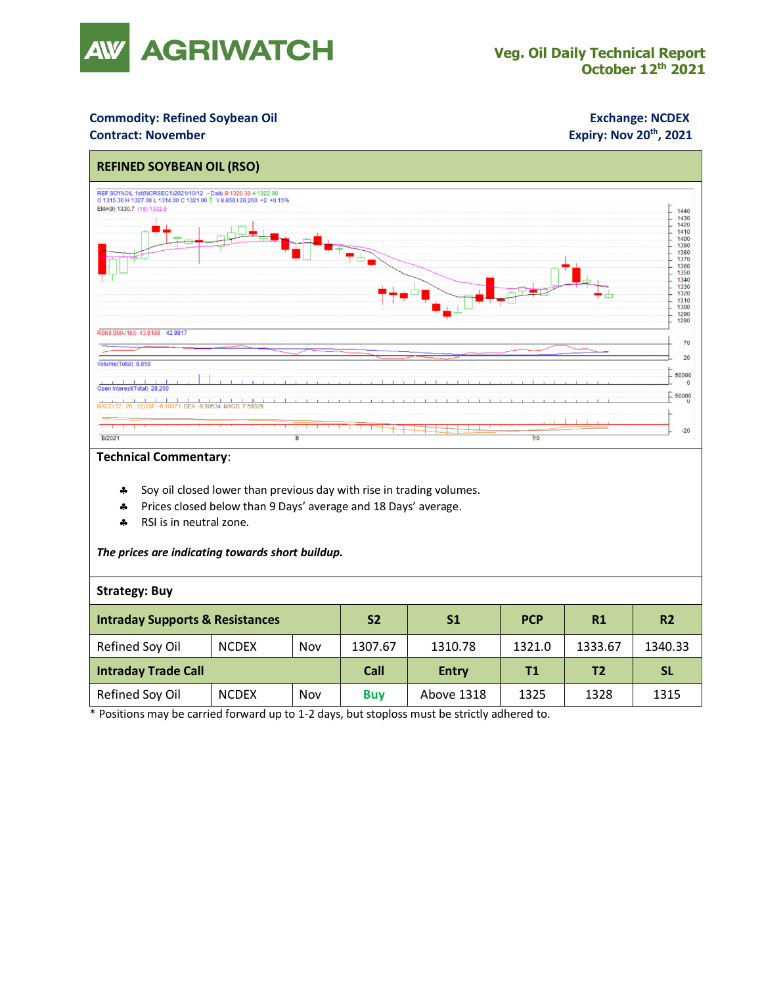

### **Commodity: Refined Soybean Oil <b>Exchange: NCDEX Contract: November**

## **Expiry: Nov 20<sup>th</sup>, 2021**



### **Technical Commentary**:

- Soy oil closed lower than previous day with rise in trading volumes.
- Prices closed below than 9 Days' average and 18 Days' average.
- \* RSI is in neutral zone.

### *The prices are indicating towards short buildup.*

### **Strategy: Buy**

| <b>Intraday Supports &amp; Resistances</b> |              |     | S <sub>2</sub> | S1           | <b>PCP</b> | R1             | R <sub>2</sub> |
|--------------------------------------------|--------------|-----|----------------|--------------|------------|----------------|----------------|
| Refined Soy Oil                            | <b>NCDEX</b> | Nov | 1307.67        | 1310.78      | 1321.0     | 1333.67        | 1340.33        |
| <b>Intraday Trade Call</b>                 |              |     | Call           | <b>Entry</b> | Τ1         | T <sub>2</sub> | <b>SL</b>      |
| Refined Soy Oil                            | <b>NCDEX</b> | Nov | <b>Buv</b>     | Above 1318   | 1325       | 1328           | 1315           |

\* Positions may be carried forward up to 1-2 days, but stoploss must be strictly adhered to.